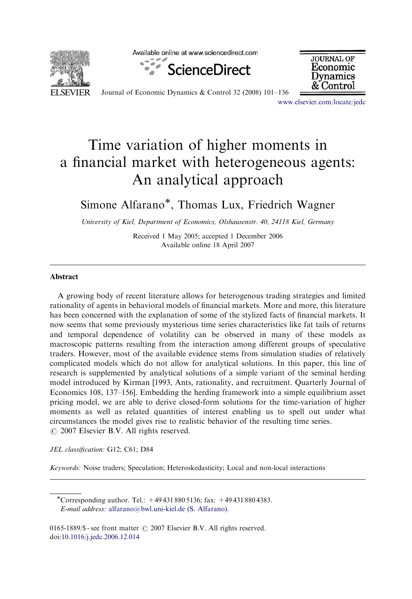

Available online at www.sciencedirect.com





Journal of Economic Dynamics & Control 32 (2008) 101–136

<www.elsevier.com/locate/jedc>

## Time variation of higher moments in a financial market with heterogeneous agents: An analytical approach

Simone Alfarano\*, Thomas Lux, Friedrich Wagner

University of Kiel, Department of Economics, Olshausenstr. 40, 24118 Kiel, Germany

Received 1 May 2005; accepted 1 December 2006 Available online 18 April 2007

## Abstract

A growing body of recent literature allows for heterogenous trading strategies and limited rationality of agents in behavioral models of financial markets. More and more, this literature has been concerned with the explanation of some of the stylized facts of financial markets. It now seems that some previously mysterious time series characteristics like fat tails of returns and temporal dependence of volatility can be observed in many of these models as macroscopic patterns resulting from the interaction among different groups of speculative traders. However, most of the available evidence stems from simulation studies of relatively complicated models which do not allow for analytical solutions. In this paper, this line of research is supplemented by analytical solutions of a simple variant of the seminal herding model introduced by Kirman [1993, Ants, rationality, and recruitment. Quarterly Journal of Economics 108, 137–156]. Embedding the herding framework into a simple equilibrium asset pricing model, we are able to derive closed-form solutions for the time-variation of higher moments as well as related quantities of interest enabling us to spell out under what circumstances the model gives rise to realistic behavior of the resulting time series.  $\odot$  2007 Elsevier B.V. All rights reserved.

JEL classification: G12; C61; D84

Keywords: Noise traders; Speculation; Heteroskedasticity; Local and non-local interactions

-Corresponding author. Tel.: +49 431 880 5136; fax: +49 431 880 4383. E-mail address: [alfarano@bwl.uni-kiel.de \(S. Alfarano\).](mailto:alfarano@bwl.uni-kiel.de)

0165-1889/\$ - see front matter  $\odot$  2007 Elsevier B.V. All rights reserved. doi:[10.1016/j.jedc.2006.12.014](dx.doi.org/10.1016/j.jedc.2006.12.014)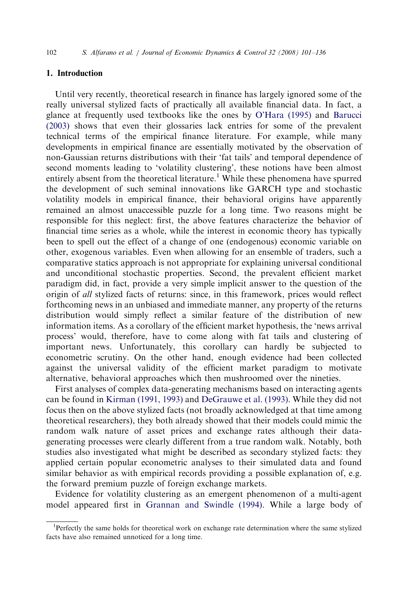## 1. Introduction

Until very recently, theoretical research in finance has largely ignored some of the really universal stylized facts of practically all available financial data. In fact, a glance at frequently used textbooks like the ones by [O'Hara \(1995\)](#page--1-0) and [Barucci](#page--1-0) [\(2003\)](#page--1-0) shows that even their glossaries lack entries for some of the prevalent technical terms of the empirical finance literature. For example, while many developments in empirical finance are essentially motivated by the observation of non-Gaussian returns distributions with their 'fat tails' and temporal dependence of second moments leading to 'volatility clustering', these notions have been almost entirely absent from the theoretical literature.<sup>1</sup> While these phenomena have spurred the development of such seminal innovations like GARCH type and stochastic volatility models in empirical finance, their behavioral origins have apparently remained an almost unaccessible puzzle for a long time. Two reasons might be responsible for this neglect: first, the above features characterize the behavior of financial time series as a whole, while the interest in economic theory has typically been to spell out the effect of a change of one (endogenous) economic variable on other, exogenous variables. Even when allowing for an ensemble of traders, such a comparative statics approach is not appropriate for explaining universal conditional and unconditional stochastic properties. Second, the prevalent efficient market paradigm did, in fact, provide a very simple implicit answer to the question of the origin of all stylized facts of returns: since, in this framework, prices would reflect forthcoming news in an unbiased and immediate manner, any property of the returns distribution would simply reflect a similar feature of the distribution of new information items. As a corollary of the efficient market hypothesis, the 'news arrival process' would, therefore, have to come along with fat tails and clustering of important news. Unfortunately, this corollary can hardly be subjected to econometric scrutiny. On the other hand, enough evidence had been collected against the universal validity of the efficient market paradigm to motivate alternative, behavioral approaches which then mushroomed over the nineties.

First analyses of complex data-generating mechanisms based on interacting agents can be found in [Kirman \(1991, 1993\)](#page--1-0) and [DeGrauwe et al. \(1993\)](#page--1-0). While they did not focus then on the above stylized facts (not broadly acknowledged at that time among theoretical researchers), they both already showed that their models could mimic the random walk nature of asset prices and exchange rates although their datagenerating processes were clearly different from a true random walk. Notably, both studies also investigated what might be described as secondary stylized facts: they applied certain popular econometric analyses to their simulated data and found similar behavior as with empirical records providing a possible explanation of, e.g. the forward premium puzzle of foreign exchange markets.

Evidence for volatility clustering as an emergent phenomenon of a multi-agent model appeared first in [Grannan and Swindle \(1994\).](#page--1-0) While a large body of

<sup>&</sup>lt;sup>1</sup>Perfectly the same holds for theoretical work on exchange rate determination where the same stylized facts have also remained unnoticed for a long time.